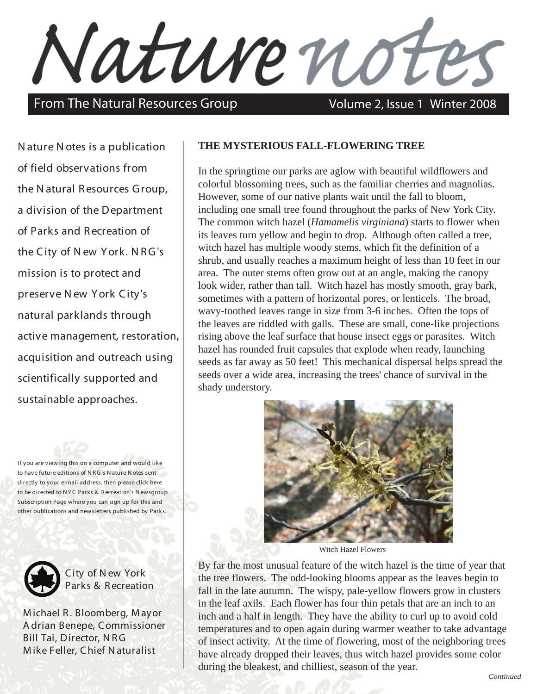Nature noti

From The Natural Resources Group Volume 2, Issue 1 Winter 2008

N ature N otes is a publication of field observations from the N atural Resources Group, a division of the Department of Parks and Recreation of the City of N ew York. N RG's mission is to protect and preserve N ew York City's natural parklands through active management, restoration, acquisition and outreach using scientifically supported and sustainable approaches.

If you are viewing this on a computer and would like to have future editions of N RG's N ature N otes sent directly to your e-mail address, then please click here to be directed to N YC Parks & Recreation's N ewsgroup [Subscription](http://www.nycgovparks.org/newsgroup/lists/?p=subscribe&id=1) Page where you can sign up for this and other publications and newsletters published by Parks.



City of N ew York Parks & Recreation

M ichael R. Bloomberg, M ayor A drian Benepe, Commissioner Bill Tai, Director, N RG M ike Feller, Chief N aturalist

## **THE MYSTERIOUS FALL-FLOWERING TREE**

In the springtime our parks are aglow with beautiful wildflowers and colorful blossoming trees, such as the familiar cherries and magnolias. However, some of our native plants wait until the fall to bloom, including one small tree found throughout the parks of New York City. The common witch hazel (*Hamamelis virginiana*) starts to flower when its leaves turn yellow and begin to drop. Although often called a tree, witch hazel has multiple woody stems, which fit the definition of a shrub, and usually reaches a maximum height of less than 10 feet in our area. The outer stems often grow out at an angle, making the canopy look wider, rather than tall. Witch hazel has mostly smooth, gray bark, sometimes with a pattern of horizontal pores, or lenticels. The broad, wavy-toothed leaves range in size from 3-6 inches. Often the tops of the leaves are riddled with galls. These are small, cone-like projections rising above the leaf surface that house insect eggs or parasites. Witch hazel has rounded fruit capsules that explode when ready, launching seeds as far away as 50 feet! This mechanical dispersal helps spread the seeds over a wide area, increasing the trees' chance of survival in the shady understory.



Witch Hazel Flowers

By far the most unusual feature of the witch hazel is the time of year that the tree flowers. The odd-looking blooms appear as the leaves begin to fall in the late autumn. The wispy, pale-yellow flowers grow in clusters in the leaf axils. Each flower has four thin petals that are an inch to an inch and a half in length. They have the ability to curl up to avoid cold temperatures and to open again during warmer weather to take advantage of insect activity. At the time of flowering, most of the neighboring trees have already dropped their leaves, thus witch hazel provides some color during the bleakest, and chilliest, season of the year.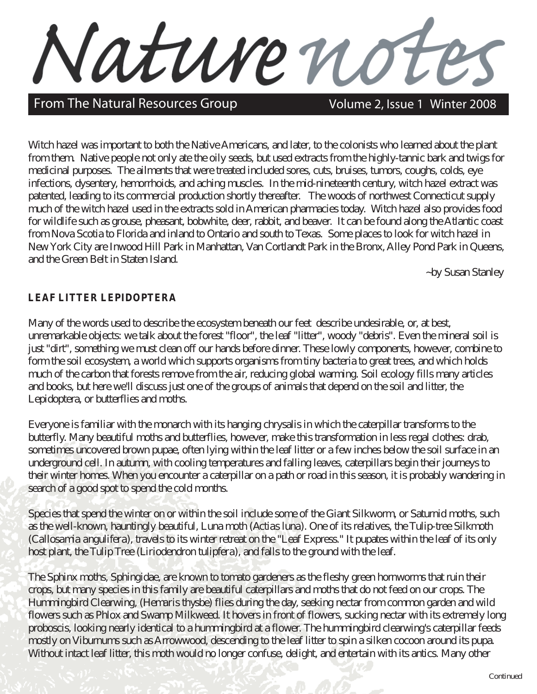From The Natural Resources Group Volume 2, Issue 1 Winter 2008

Witch hazel was important to both the Native Americans, and later, to the colonists who learned about the plant from them. Native people not only ate the oily seeds, but used extracts from the highly-tannic bark and twigs for medicinal purposes. The ailments that were treated included sores, cuts, bruises, tumors, coughs, colds, eye infections, dysentery, hemorrhoids, and aching muscles. In the mid-nineteenth century, witch hazel extract was patented, leading to its commercial production shortly thereafter. The woods of northwest Connecticut supply much of the witch hazel used in the extracts sold in American pharmacies today. Witch hazel also provides food for wildlife such as grouse, pheasant, bobwhite, deer, rabbit, and beaver. It can be found along the Atlantic coast from Nova Scotia to Florida and inland to Ontario and south to Texas. Some places to look for witch hazel in New York City are Inwood Hill Park in Manhattan, Van Cortlandt Park in the Bronx, Alley Pond Park in Queens, and the Green Belt in Staten Island.

Nature no

~by Susan Stanley

## **LEAF LITTER LEPIDOPTERA**

Many of the words used to describe the ecosystem beneath our feet describe undesirable, or, at best, unremarkable objects: we talk about the forest "floor", the leaf "litter", woody "debris". Even the mineral soil is just "dirt", something we must clean off our hands before dinner. These lowly components, however, combine to form the soil ecosystem, a world which supports organisms from tiny bacteria to great trees, and which holds much of the carbon that forests remove from the air, reducing global warming. Soil ecology fills many articles and books, but here we'll discuss just one of the groups of animals that depend on the soil and litter, the Lepidoptera, or butterflies and moths.

Everyone is familiar with the monarch with its hanging chrysalis in which the caterpillar transforms to the butterfly. Many beautiful moths and butterflies, however, make this transformation in less regal clothes: drab, sometimes uncovered brown pupae, often lying within the leaf litter or a few inches below the soil surface in an underground cell. In autumn, with cooling temperatures and falling leaves, caterpillars begin their journeys to their winter homes. When you encounter a caterpillar on a path or road in this season, it is probably wandering in search of a good spot to spend the cold months.

Species that spend the winter on or within the soil include some of the Giant Silkworm, or Saturnid moths, such as the well-known, hauntingly beautiful, Luna moth (*Actias luna*). One of its relatives, the Tulip-tree Silkmoth (*Callosamia angulifera*), travels to its winter retreat on the "Leaf Express." It pupates within the leaf of its only host plant, the Tulip Tree (*Liriodendron tulipfera*), and falls to the ground with the leaf.

The Sphinx moths, Sphingidae, are known to tomato gardeners as the fleshy green hornworms that ruin their crops, but many species in this family are beautiful caterpillars and moths that do not feed on our crops. The Hummingbird Clearwing, (*Hemaris thysbe*) flies during the day, seeking nectar from common garden and wild flowers such as Phlox and Swamp Milkweed. It hovers in front of flowers, sucking nectar with its extremely long proboscis, looking nearly identical to a hummingbird at a flower. The hummingbird clearwing's caterpillar feeds mostly on Viburnums such as Arrowwood, descending to the leaf litter to spin a silken cocoon around its pupa. Without intact leaf litter, this moth would no longer confuse, delight, and entertain with its antics. Many other